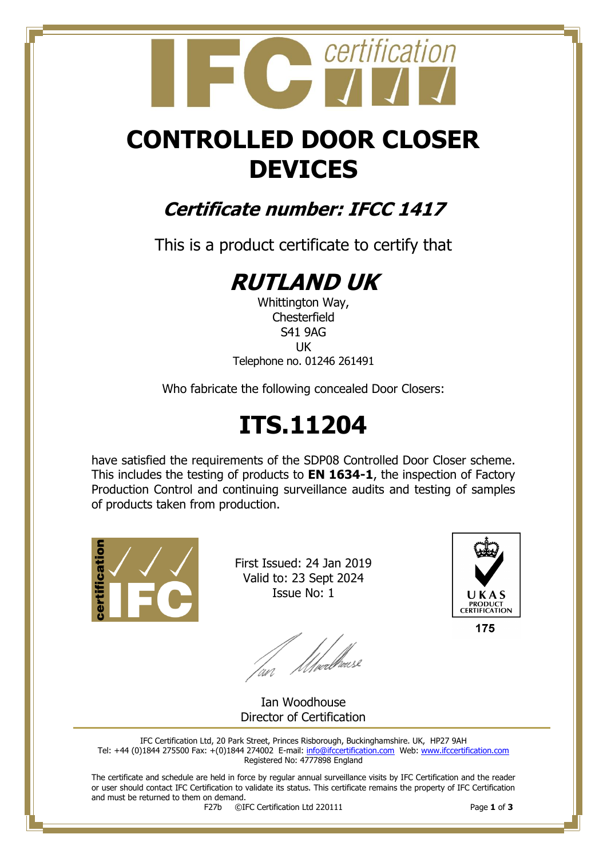## certification

## **CONTROLLED DOOR CLOSER DEVICES**

### **Certificate number: IFCC 1417**

This is a product certificate to certify that

## **RUTLAND UK**

Whittington Way, **Chesterfield** S41 9AG UK Telephone no. 01246 261491

Who fabricate the following concealed Door Closers:

## **ITS.11204**

have satisfied the requirements of the SDP08 Controlled Door Closer scheme. This includes the testing of products to **EN 1634-1**, the inspection of Factory Production Control and continuing surveillance audits and testing of samples of products taken from production.



First Issued: 24 Jan 2019 Valid to: 23 Sept 2024 Issue No: 1

lan Moedhouse



175

Ian Woodhouse Director of Certification

IFC Certification Ltd, 20 Park Street, Princes Risborough, Buckinghamshire. UK, HP27 9AH Tel: +44 (0)1844 275500 Fax: +(0)1844 274002 E-mail[: info@ifccertification.com](mailto:info@ifccertification.com) Web: [www.ifccertification.com](http://www.ifccertification.com/) Registered No: 4777898 England

The certificate and schedule are held in force by regular annual surveillance visits by IFC Certification and the reader or user should contact IFC Certification to validate its status. This certificate remains the property of IFC Certification and must be returned to them on demand.<br> $F27b$   $\odot$ I

F27b ©IFC Certification Ltd 220111 Page **1** of **3**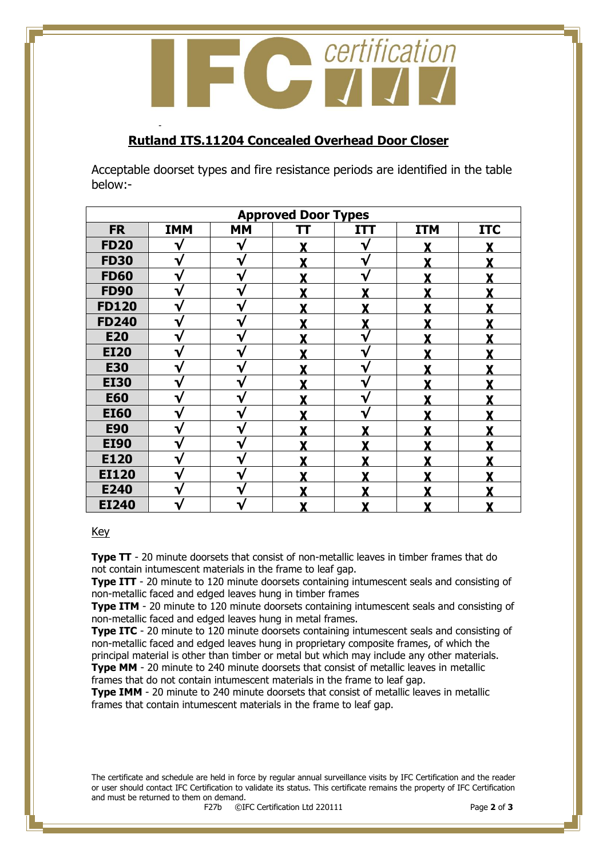certification  $\overline{C}$ 

#### **Rutland ITS.11204 Concealed Overhead Door Closer**

-

Acceptable doorset types and fire resistance periods are identified in the table below:-

| <b>Approved Door Types</b> |            |           |    |              |            |            |  |  |
|----------------------------|------------|-----------|----|--------------|------------|------------|--|--|
| <b>FR</b>                  | <b>IMM</b> | <b>MM</b> | TT | <b>ITT</b>   | <b>ITM</b> | <b>ITC</b> |  |  |
| <b>FD20</b>                |            | v         |    | $\mathbf{v}$ |            |            |  |  |
| <b>FD30</b>                | V          | V         |    | V            |            |            |  |  |
| <b>FD60</b>                | V          | ∿         |    | V            |            |            |  |  |
| <b>FD90</b>                | V          | v         |    | v            | v          |            |  |  |
| <b>FD120</b>               | V          | ٦         | v  | v            | v          |            |  |  |
| <b>FD240</b>               | V          | ∿         |    | v            |            |            |  |  |
| <b>E20</b>                 | V          | v         |    | V            | v          |            |  |  |
| <b>EI20</b>                | ٦ν         |           |    | ٦.           |            |            |  |  |
| <b>E30</b>                 | V          | ٦         |    | V            |            |            |  |  |
| <b>EI30</b>                | V          | ∿         |    | ٦ν           |            |            |  |  |
| <b>E60</b>                 | √          | V         |    | V            | v          |            |  |  |
| <b>EI60</b>                | V          | ٦ν        | v  | V            | v          |            |  |  |
| <b>E90</b>                 | V          |           |    |              |            |            |  |  |
| <b>EI90</b>                | V          |           |    |              |            |            |  |  |
| E120                       |            |           |    |              |            |            |  |  |
| <b>EI120</b>               | ٦          | ٦         |    |              |            |            |  |  |
| E240                       | V          | J         |    |              |            |            |  |  |
| <b>EI240</b>               | ٦.         |           |    | Y            | v          |            |  |  |

#### Key

**Type TT** - 20 minute doorsets that consist of non-metallic leaves in timber frames that do not contain intumescent materials in the frame to leaf gap.

**Type ITT** - 20 minute to 120 minute doorsets containing intumescent seals and consisting of non-metallic faced and edged leaves hung in timber frames

**Type ITM** - 20 minute to 120 minute doorsets containing intumescent seals and consisting of non-metallic faced and edged leaves hung in metal frames.

**Type ITC** - 20 minute to 120 minute doorsets containing intumescent seals and consisting of non-metallic faced and edged leaves hung in proprietary composite frames, of which the principal material is other than timber or metal but which may include any other materials.

**Type MM** - 20 minute to 240 minute doorsets that consist of metallic leaves in metallic frames that do not contain intumescent materials in the frame to leaf gap.

**Type IMM** - 20 minute to 240 minute doorsets that consist of metallic leaves in metallic frames that contain intumescent materials in the frame to leaf gap.

The certificate and schedule are held in force by regular annual surveillance visits by IFC Certification and the reader or user should contact IFC Certification to validate its status. This certificate remains the property of IFC Certification and must be returned to them on demand.<br> $F27b$   $\odot$ I

F27b ©IFC Certification Ltd 220111 Page **2** of **3**